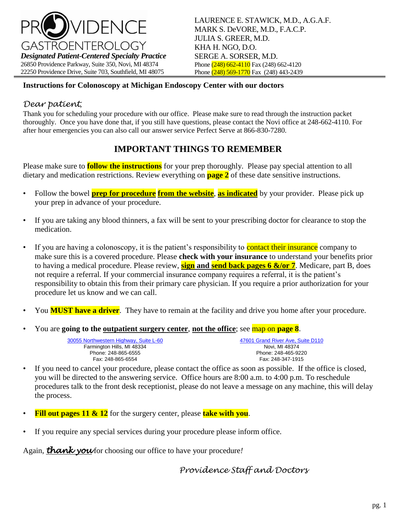

#### **Instructions for Colonoscopy at Michigan Endoscopy Center with our doctors**

#### *Dear patient*,

Thank you for scheduling your procedure with our office. Please make sure to read through the instruction packet thoroughly. Once you have done that, if you still have questions, please contact the Novi office at 248-662-4110. For after hour emergencies you can also call our answer service Perfect Serve at 866-830-7280.

# **IMPORTANT THINGS TO REMEMBER**

Please make sure to **follow the instructions** for your prep thoroughly. Please pay special attention to all dietary and medication restrictions. Review everything on **page 2** of these date sensitive instructions.

- Follow the bowel **prep for procedure from the website**, **as indicated** by your provider. Please pick up your prep in advance of your procedure.
- If you are taking any blood thinners, a fax will be sent to your prescribing doctor for clearance to stop the medication.
- If you are having a colonoscopy, it is the patient's responsibility to contact their insurance company to make sure this is a covered procedure. Please **check with your insurance** to understand your benefits prior to having a medical procedure. Please review, **sign and send back pages 6 &/or 7**. Medicare, part B, does not require a referral. If your commercial insurance company requires a referral, it is the patient's responsibility to obtain this from their primary care physician. If you require a prior authorization for your procedure let us know and we can call.
- You **MUST have a driver**. They have to remain at the facility and drive you home after your procedure.
- You are **going to the outpatient surgery center**, **not the office**; see map on **page 8**.

| 30055 Northwestern Highway. Suite L-60 | 47601 Grand River Ave. Suite D110 |
|----------------------------------------|-----------------------------------|
| Farmington Hills, MI 48334             | Novi. MI 48374                    |
| Phone: 248-865-6555                    | Phone: 248-465-9220               |
| Fax: 248-865-6554                      | Fax: 248-347-1915                 |

- If you need to cancel your procedure, please contact the office as soon as possible. If the office is closed, you will be directed to the answering service. Office hours are 8:00 a.m. to 4:00 p.m. To reschedule procedures talk to the front desk receptionist, please do not leave a message on any machine, this will delay the process.
- **Fill out pages 11 & 12** for the surgery center, please **take with you**.
- If you require any special services during your procedure please inform office.

Again, **thank you** for choosing our office to have your procedure!

*Providence Staff and Doctors*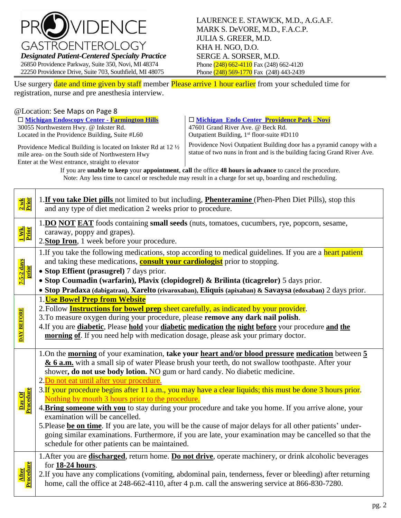

Use surgery date and time given by staff member Please arrive 1 hour earlier from your scheduled time for registration, nurse and pre anesthesia interview.

#### @Location: See Maps on Page 8

 **[Michigan Endoscopy Center -](https://www.google.com/maps/place/30055+Northwestern+Hwy,+Farmington+Hills,+MI+48334/@42.5061349,-83.3227873,17z/data=!4m5!3m4!1s0x8824b75b9d9ff44f:0x232be808349363b6!8m2!3d42.5059837!4d-83.3211673) Farmington Hills** 30055 Northwestern Hwy. @ Inkster Rd. Located in the Providence Building, Suite #L60

 **[Michigan Endo Center Providence Park](https://www.google.com/maps/place/47601+Grand+River+Ave,+Novi,+MI+48374/@42.4875065,-83.5206426,17z/data=!3m1!4b1!4m5!3m4!1s0x8824a8d8593d0cd9:0x709fe4dda7b72773!8m2!3d42.4875026!4d-83.5184539)** - **Novi** 47601 Grand River Ave. @ Beck Rd. Outpatient Building,  $1<sup>st</sup>$  floor-suite #D110

Providence Medical Building is located on Inkster Rd at 12 ½ mile area- on the South side of Northwestern Hwy Enter at the West entrance, straight to elevator

Providence Novi Outpatient Building door has a pyramid canopy with a statue of two nuns in front and is the building facing Grand River Ave.

If you are **unable to keep** your **appointment**, **call** the office **48 hours in advance** to cancel the procedure. Note: Any less time to cancel or reschedule may result in a charge for set up, boarding and rescheduling.

| 2 wk<br>Prior                    | 1. If you take Diet pills not limited to but including, Phenteramine (Phen-Phen Diet Pills), stop this<br>and any type of diet medication 2 weeks prior to procedure.                                                                                                                                                                                                                                                                                                                                                                                                                                                                                                                                                                                                                                                                                                                                                    |
|----------------------------------|--------------------------------------------------------------------------------------------------------------------------------------------------------------------------------------------------------------------------------------------------------------------------------------------------------------------------------------------------------------------------------------------------------------------------------------------------------------------------------------------------------------------------------------------------------------------------------------------------------------------------------------------------------------------------------------------------------------------------------------------------------------------------------------------------------------------------------------------------------------------------------------------------------------------------|
| <mark>l Wk.</mark><br>Prior      | 1.DO NOT EAT foods containing small seeds (nuts, tomatoes, cucumbers, rye, popcorn, sesame,<br>caraway, poppy and grapes).<br>2. Stop Iron, 1 week before your procedure.                                                                                                                                                                                                                                                                                                                                                                                                                                                                                                                                                                                                                                                                                                                                                |
| <mark>7-5-2 days</mark><br>prior | 1. If you take the following medications, stop according to medical guidelines. If you are a heart patient<br>and taking these medications, <b>consult your cardiologist</b> prior to stopping.<br>• Stop Effient (prasugrel) 7 days prior.<br>· Stop Coumadin (warfarin), Plavix (clopidogrel) & Brilinta (ticagrelor) 5 days prior.<br>· Stop Pradaxa (dabigatran), Xarelto (rivaroxaban), Eliquis (apixaban) & Savaysa (edoxaban) 2 days prior.                                                                                                                                                                                                                                                                                                                                                                                                                                                                       |
| <b>DAY BEFORE</b>                | 1. Use Bowel Prep from Website<br>2. Follow <b>Instructions for bowel prep</b> sheet carefully, as indicated by your provider.<br>3. To measure oxygen during your procedure, please remove any dark nail polish.<br>4. If you are diabetic, Please hold your diabetic medication the night before your procedure and the<br>morning of. If you need help with medication dosage, please ask your primary doctor.                                                                                                                                                                                                                                                                                                                                                                                                                                                                                                        |
| Day Of<br>Procedure              | 1.On the morning of your examination, take your heart and/or blood pressure medication between 5<br>& 6 a.m. with a small sip of water Please brush your teeth, do not swallow toothpaste. After your<br>shower, do not use body lotion. NO gum or hard candy. No diabetic medicine.<br>2. Do not eat until after your procedure.<br>3. If your procedure begins after 11 a.m., you may have a clear liquids; this must be done 3 hours prior.<br>Nothing by mouth 3 hours prior to the procedure.<br>4. Bring someone with you to stay during your procedure and take you home. If you arrive alone, your<br>examination will be cancelled.<br>5. Please be on time. If you are late, you will be the cause of major delays for all other patients' under-<br>going similar examinations. Furthermore, if you are late, your examination may be cancelled so that the<br>schedule for other patients can be maintained. |
| Procedure<br><b>After</b>        | 1. After you are <b>discharged</b> , return home. Do not drive, operate machinery, or drink alcoholic beverages<br>for 18-24 hours.<br>2.If you have any complications (vomiting, abdominal pain, tenderness, fever or bleeding) after returning<br>home, call the office at 248-662-4110, after 4 p.m. call the answering service at 866-830-7280.                                                                                                                                                                                                                                                                                                                                                                                                                                                                                                                                                                      |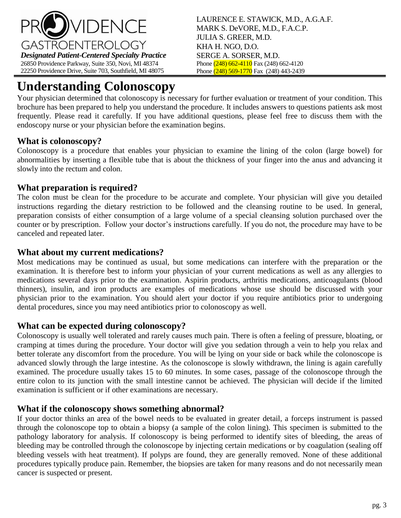

# **Understanding Colonoscopy**

Your physician determined that colonoscopy is necessary for further evaluation or treatment of your condition. This brochure has been prepared to help you understand the procedure. It includes answers to questions patients ask most frequently. Please read it carefully. If you have additional questions, please feel free to discuss them with the endoscopy nurse or your physician before the examination begins.

# **What is colonoscopy?**

Colonoscopy is a procedure that enables your physician to examine the lining of the colon (large bowel) for abnormalities by inserting a flexible tube that is about the thickness of your finger into the anus and advancing it slowly into the rectum and colon.

# **What preparation is required?**

The colon must be clean for the procedure to be accurate and complete. Your physician will give you detailed instructions regarding the dietary restriction to be followed and the cleansing routine to be used. In general, preparation consists of either consumption of a large volume of a special cleansing solution purchased over the counter or by prescription. Follow your doctor's instructions carefully. If you do not, the procedure may have to be canceled and repeated later.

## **What about my current medications?**

Most medications may be continued as usual, but some medications can interfere with the preparation or the examination. It is therefore best to inform your physician of your current medications as well as any allergies to medications several days prior to the examination. Aspirin products, arthritis medications, anticoagulants (blood thinners), insulin, and iron products are examples of medications whose use should be discussed with your physician prior to the examination. You should alert your doctor if you require antibiotics prior to undergoing dental procedures, since you may need antibiotics prior to colonoscopy as well.

# **What can be expected during colonoscopy?**

Colonoscopy is usually well tolerated and rarely causes much pain. There is often a feeling of pressure, bloating, or cramping at times during the procedure. Your doctor will give you sedation through a vein to help you relax and better tolerate any discomfort from the procedure. You will be lying on your side or back while the colonoscope is advanced slowly through the large intestine. As the colonoscope is slowly withdrawn, the lining is again carefully examined. The procedure usually takes 15 to 60 minutes. In some cases, passage of the colonoscope through the entire colon to its junction with the small intestine cannot be achieved. The physician will decide if the limited examination is sufficient or if other examinations are necessary.

### **What if the colonoscopy shows something abnormal?**

If your doctor thinks an area of the bowel needs to be evaluated in greater detail, a forceps instrument is passed through the colonoscope top to obtain a biopsy (a sample of the colon lining). This specimen is submitted to the pathology laboratory for analysis. If colonoscopy is being performed to identify sites of bleeding, the areas of bleeding may be controlled through the colonoscope by injecting certain medications or by coagulation (sealing off bleeding vessels with heat treatment). If polyps are found, they are generally removed. None of these additional procedures typically produce pain. Remember, the biopsies are taken for many reasons and do not necessarily mean cancer is suspected or present.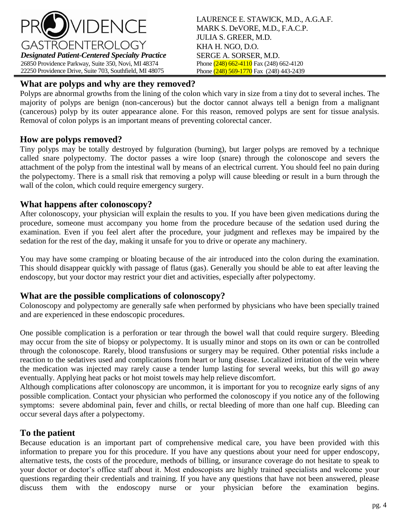

# **What are polyps and why are they removed?**

Polyps are abnormal growths from the lining of the colon which vary in size from a tiny dot to several inches. The majority of polyps are benign (non-cancerous) but the doctor cannot always tell a benign from a malignant (cancerous) polyp by its outer appearance alone. For this reason, removed polyps are sent for tissue analysis. Removal of colon polyps is an important means of preventing colorectal cancer.

## **How are polyps removed?**

Tiny polyps may be totally destroyed by fulguration (burning), but larger polyps are removed by a technique called snare polypectomy. The doctor passes a wire loop (snare) through the colonoscope and severs the attachment of the polyp from the intestinal wall by means of an electrical current. You should feel no pain during the polypectomy. There is a small risk that removing a polyp will cause bleeding or result in a burn through the wall of the colon, which could require emergency surgery.

## **What happens after colonoscopy?**

After colonoscopy, your physician will explain the results to you. If you have been given medications during the procedure, someone must accompany you home from the procedure because of the sedation used during the examination. Even if you feel alert after the procedure, your judgment and reflexes may be impaired by the sedation for the rest of the day, making it unsafe for you to drive or operate any machinery.

You may have some cramping or bloating because of the air introduced into the colon during the examination. This should disappear quickly with passage of flatus (gas). Generally you should be able to eat after leaving the endoscopy, but your doctor may restrict your diet and activities, especially after polypectomy.

### **What are the possible complications of colonoscopy?**

Colonoscopy and polypectomy are generally safe when performed by physicians who have been specially trained and are experienced in these endoscopic procedures.

One possible complication is a perforation or tear through the bowel wall that could require surgery. Bleeding may occur from the site of biopsy or polypectomy. It is usually minor and stops on its own or can be controlled through the colonoscope. Rarely, blood transfusions or surgery may be required. Other potential risks include a reaction to the sedatives used and complications from heart or lung disease. Localized irritation of the vein where the medication was injected may rarely cause a tender lump lasting for several weeks, but this will go away eventually. Applying heat packs or hot moist towels may help relieve discomfort.

Although complications after colonoscopy are uncommon, it is important for you to recognize early signs of any possible complication. Contact your physician who performed the colonoscopy if you notice any of the following symptoms: severe abdominal pain, fever and chills, or rectal bleeding of more than one half cup. Bleeding can occur several days after a polypectomy.

# **To the patient**

Because education is an important part of comprehensive medical care, you have been provided with this information to prepare you for this procedure. If you have any questions about your need for upper endoscopy, alternative tests, the costs of the procedure, methods of billing, or insurance coverage do not hesitate to speak to your doctor or doctor's office staff about it. Most endoscopists are highly trained specialists and welcome your questions regarding their credentials and training. If you have any questions that have not been answered, please discuss them with the endoscopy nurse or your physician before the examination begins.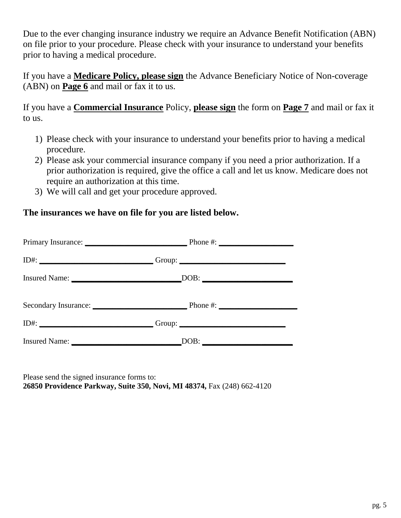Due to the ever changing insurance industry we require an Advance Benefit Notification (ABN) on file prior to your procedure. Please check with your insurance to understand your benefits prior to having a medical procedure.

If you have a **Medicare Policy, please sign** the Advance Beneficiary Notice of Non-coverage (ABN) on **Page 6** and mail or fax it to us.

If you have a **Commercial Insurance** Policy, **please sign** the form on **Page 7** and mail or fax it to us.

- 1) Please check with your insurance to understand your benefits prior to having a medical procedure.
- 2) Please ask your commercial insurance company if you need a prior authorization. If a prior authorization is required, give the office a call and let us know. Medicare does not require an authorization at this time.
- 3) We will call and get your procedure approved.

# **The insurances we have on file for you are listed below.**

|      | Phone #: $\frac{1}{2}$        |  |
|------|-------------------------------|--|
|      |                               |  |
|      | DOB:                          |  |
|      | Secondary Insurance: Phone #: |  |
| ID#: | Group: $\qquad \qquad$        |  |
|      |                               |  |

Please send the signed insurance forms to: **26850 Providence Parkway, Suite 350, Novi, MI 48374,** Fax (248) 662-4120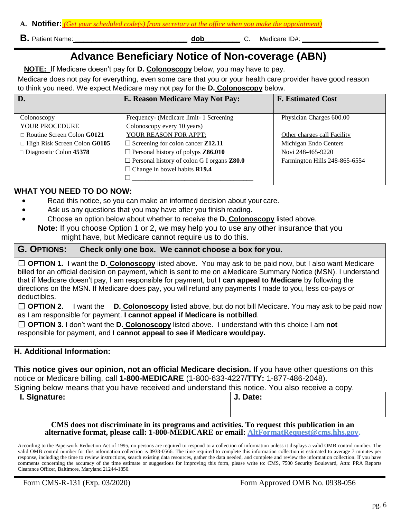| A. Notifier: <mark>I</mark> |  |  |  |  |
|-----------------------------|--|--|--|--|
|                             |  |  |  |  |

- **B.** Patient Name: **and State ID and State ID and State ID and State ID and State ID and State ID and State ID and State ID and State ID and State ID and State ID and State ID and State ID and State ID and State ID and Sta**
- 

# **Advance Beneficiary Notice of Non-coverage (ABN)**

**NOTE:** If Medicare doesn't pay for **D. Colonoscopy** below, you may have to pay.

Medicare does not pay for everything, even some care that you or your health care provider have good reason to think you need. We expect Medicare may not pay for the **D. Colonoscopy** below.

| D.                                         | E. Reason Medicare May Not Pay:                          | <b>F. Estimated Cost</b>      |
|--------------------------------------------|----------------------------------------------------------|-------------------------------|
|                                            |                                                          |                               |
| Colonoscopy                                | Frequency- (Medicare limit- 1 Screening                  | Physician Charges 600.00      |
| YOUR PROCEDURE                             | Colonoscopy every 10 years)                              |                               |
| $\Box$ Routine Screen Colon G0121          | YOUR REASON FOR APPT:                                    | Other charges call Facility   |
| $\Box$ High Risk Screen Colon <b>G0105</b> | $\Box$ Screening for colon cancer <b>Z12.11</b>          | Michigan Endo Centers         |
| $\Box$ Diagnostic Colon 45378              | $\Box$ Personal history of polyps <b>Z86.010</b>         | Novi 248-465-9220             |
|                                            | $\Box$ Personal history of colon G I organs <b>Z80.0</b> | Farmington Hills 248-865-6554 |
|                                            | $\Box$ Change in bowel habits <b>R19.4</b>               |                               |
|                                            |                                                          |                               |

#### **WHAT YOU NEED TO DO NOW:**

- Read this notice, so you can make an informed decision about your care.
- Ask us any questions that you may have after you finish reading.
- Choose an option below about whether to receive the **D. Colonoscopy** listed above.
- **Note:** If you choose Option 1 or 2, we may help you to use any other insurance that you might have, but Medicare cannot require us to do this.

#### **G***.* **OPTIONS: Check only one box. We cannot choose a box for you.**

□ **OPTION 1.** I want the **D. Colonoscopy** listed above. You may ask to be paid now, but I also want Medicare billed for an official decision on payment, which is sent to me on aMedicare Summary Notice (MSN). I understand that if Medicare doesn't pay, I am responsible for payment, but **I can appeal to Medicare** by following the directions on the MSN**.** If Medicare does pay, you will refund any payments I made to you, less co-pays or deductibles.

□ **OPTION 2.** I want the **D. Colonoscopy** listed above, but do not bill Medicare. You may ask to be paid now as I am responsible for payment. **I cannot appeal if Medicare is notbilled**.

□ **OPTION 3.** I don't want the **D. Colonoscopy** listed above. I understand with this choice I am **not**  responsible for payment, and **I cannot appeal to see if Medicare wouldpay.**

#### **H. Additional Information:**

**This notice gives our opinion, not an official Medicare decision.** If you have other questions on this notice or Medicare billing, call **1-800-MEDICARE** (1-800-633-4227/**TTY:** 1-877-486-2048).

Signing below means that you have received and understand this notice. You also receive a copy.

| I. Signature: | J. Date: |
|---------------|----------|
|               |          |

| J. Date: |  |
|----------|--|
|          |  |

#### **CMS does not discriminate in its programs and activities. To request this publication in an alternative format, please call: 1-800-MEDICARE or email: [AltFormatRequest@cms.hhs.gov.](mailto:AltFormatRequest@cms.hhs.gov)**

According to the Paperwork Reduction Act of 1995, no persons are required to respond to a collection of information unless it displays a valid OMB control number. The valid OMB control number for this information collection is 0938-0566. The time required to complete this information collection is estimated to average 7 minutes per response, including the time to review instructions, search existing data resources, gather the data needed, and complete and review the information collection. If you have comments concerning the accuracy of the time estimate or suggestions for improving this form, please write to: CMS, 7500 Security Boulevard, Attn: PRA Reports Clearance Officer, Baltimore, Maryland 21244-1850.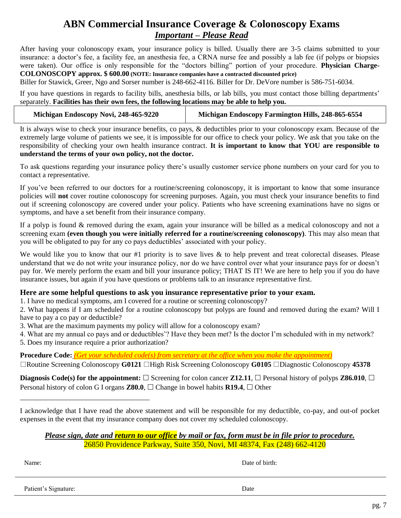# **ABN Commercial Insurance Coverage & Colonoscopy Exams** *Important – Please Read*

After having your colonoscopy exam, your insurance policy is billed. Usually there are 3-5 claims submitted to your insurance: a doctor's fee, a facility fee, an anesthesia fee, a CRNA nurse fee and possibly a lab fee (if polyps or biopsies were taken). Our office is only responsible for the "doctors billing" portion of your procedure. **Physician Charge-COLONOSCOPY approx. \$ 600.00 (NOTE: Insurance companies have a contracted discounted price)**

Biller for Stawick, Greer, Ngo and Sorser number is 248-662-4116. Biller for Dr. DeVore number is 586-751-6034.

If you have questions in regards to facility bills, anesthesia bills, or lab bills, you must contact those billing departments' separately. **Facilities has their own fees, the following locations may be able to help you.**

It is always wise to check your insurance benefits, co pays, & deductibles prior to your colonoscopy exam. Because of the extremely large volume of patients we see, it is impossible for our office to check your policy. We ask that you take on the responsibility of checking your own health insurance contract. **It is important to know that YOU are responsible to understand the terms of your own policy, not the doctor.**

To ask questions regarding your insurance policy there's usually customer service phone numbers on your card for you to contact a representative.

If you've been referred to our doctors for a routine/screening colonoscopy, it is important to know that some insurance policies will **not** cover routine colonoscopy for screening purposes. Again, you must check your insurance benefits to find out if screening colonoscopy are covered under your policy. Patients who have screening examinations have no signs or symptoms, and have a set benefit from their insurance company.

If a polyp is found & removed during the exam, again your insurance will be billed as a medical colonoscopy and not a screening exam **(even though you were initially referred for a routine/screening colonoscopy)**. This may also mean that you will be obligated to pay for any co pays deductibles' associated with your policy.

We would like you to know that our  $#1$  priority is to save lives  $\&$  to help prevent and treat colorectal diseases. Please understand that we do not write your insurance policy, nor do we have control over what your insurance pays for or doesn't pay for. We merely perform the exam and bill your insurance policy; THAT IS IT! We are here to help you if you do have insurance issues, but again if you have questions or problems talk to an insurance representative first.

#### **Here are some helpful questions to ask you insurance representative prior to your exam.**

1. I have no medical symptoms, am I covered for a routine or screening colonoscopy?

2. What happens if I am scheduled for a routine colonoscopy but polyps are found and removed during the exam? Will I have to pay a co pay or deductible?

3. What are the maximum payments my policy will allow for a colonoscopy exam?

4. What are my annual co pays and or deductibles'? Have they been met? Is the doctor I'm scheduled with in my network?

5. Does my insurance require a prior authorization?

\_\_\_\_\_\_\_\_\_\_\_\_\_\_\_\_\_\_\_\_\_\_\_\_\_\_\_\_\_\_\_\_\_\_\_\_

**Procedure Code:** *(Get your scheduled code(s) from secretary at the office when you make the appointment)*

Routine Screening Colonoscopy **G0121** High Risk Screening Colonoscopy **G0105** Diagnostic Colonoscopy **45378** 

**Diagnosis Code(s) for the appointment:**  $\Box$  Screening for colon cancer **Z12.11**,  $\Box$  Personal history of polyps **Z86.010**,  $\Box$ Personal history of colon G I organs **Z80.0**,  $\Box$  Change in bowel habits **R19.4**,  $\Box$  Other

I acknowledge that I have read the above statement and will be responsible for my deductible, co-pay, and out-of pocket expenses in the event that my insurance company does not cover my scheduled colonoscopy.

*Please sign, date and return to our office by mail or fax, form must be in file prior to procedure.* 26850 Providence Parkway, Suite 350, Novi, MI 48374, Fax (248) 662-4120

Name: Date of birth:

Patient's Signature: Date and the Date of the Signature: Date of the Date of the Date of the Date of the Date of the Date of the Date of the Date of the Date of the Date of the Date of the Date of the Date of the Date of t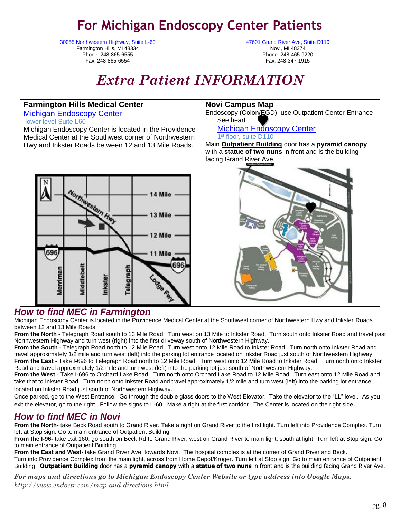# **For Michigan Endoscopy Center Patients**

[30055 Northwestern Highway, Suite L-60](https://www.google.com/maps/place/30055+Northwestern+Hwy,+Farmington+Hills,+MI+48334/@42.5061349,-83.3227873,17z/data=!4m5!3m4!1s0x8824b75b9d9ff44f:0x232be808349363b6!8m2!3d42.5059837!4d-83.3211673) Farmington Hills, MI 48334 Phone: 248-865-6555 Fax: 248-865-6554

[47601 Grand River Ave, Suite D110](https://www.google.com/maps/place/47601+Grand+River+Ave,+Novi,+MI+48374/@42.4875065,-83.5206426,17z/data=!3m1!4b1!4m5!3m4!1s0x8824a8d8593d0cd9:0x709fe4dda7b72773!8m2!3d42.4875026!4d-83.5184539) Novi, MI 48374 Phone: 248-465-9220 Fax: 248-347-1915

# *Extra Patient INFORMATION*



# *How to find MEC in Farmington*

Michigan Endoscopy Center is located in the Providence Medical Center at the Southwest corner of Northwestern Hwy and Inkster Roads between 12 and 13 Mile Roads.

**From the North** - Telegraph Road south to 13 Mile Road. Turn west on 13 Mile to Inkster Road. Turn south onto Inkster Road and travel past Northwestern Highway and turn west (right) into the first driveway south of Northwestern Highway.

**From the South** - Telegraph Road north to 12 Mile Road. Turn west onto 12 Mile Road to Inkster Road. Turn north onto Inkster Road and travel approximately 1/2 mile and turn west (left) into the parking lot entrance located on Inkster Road just south of Northwestern Highway. **From the East** - Take I-696 to Telegraph Road north to 12 Mile Road. Turn west onto 12 Mile Road to Inkster Road. Turn north onto Inkster Road and travel approximately 1/2 mile and turn west (left) into the parking lot just south of Northwestern Highway.

**From the West** - Take I-696 to Orchard Lake Road. Turn north onto Orchard Lake Road to 12 Mile Road. Turn east onto 12 Mile Road and take that to Inkster Road. Turn north onto Inkster Road and travel approximately 1/2 mile and turn west (left) into the parking lot entrance located on Inkster Road just south of Northwestern Highway.

Once parked, go to the West Entrance. Go through the double glass doors to the West Elevator. Take the elevator to the "LL" level. As you exit the elevator, go to the right. Follow the signs to L-60. Make a right at the first corridor. The Center is located on the right side.

# *How to find MEC in Novi*

**From the North**- take Beck Road south to Grand River. Take a right on Grand River to the first light. Turn left into Providence Complex. Turn left at Stop sign. Go to main entrance of Outpatient Building.

**From the I-96-** take exit 160, go south on Beck Rd to Grand River, west on Grand River to main light, south at light. Turn left at Stop sign. Go to main entrance of Outpatient Building.

**From the East and West**- take Grand River Ave. towards Novi. The hospital complex is at the corner of Grand River and Beck. Turn into Providence Complex from the main light, across from Home Depot/Kroger. Turn left at Stop sign. Go to main entrance of Outpatient Building. **Outpatient Building** door has a **pyramid canopy** with a **statue of two nuns** in front and is the building facing Grand River Ave.

*For maps and directions go to Michigan Endoscopy Center Website or type address into Google Maps. http://www.endoctr.com/map-and-directions.html*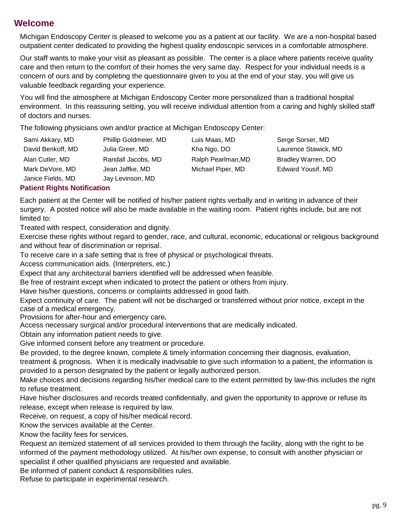# **Welcome**

Michigan Endoscopy Center is pleased to welcome you as a patient at our facility. We are a non-hospital based outpatient center dedicated to providing the highest quality endoscopic services in a comfortable atmosphere.

Our staff wants to make your visit as pleasant as possible. The center is a place where patients receive quality care and then return to the comfort of their homes the very same day. Respect for your individual needs is a concern of ours and by completing the questionnaire given to you at the end of your stay, you will give us valuable feedback regarding your experience.

You will find the atmosphere at Michigan Endoscopy Center more personalized than a traditional hospital environment. In this reassuring setting, you will receive individual attention from a caring and highly skilled staff of doctors and nurses.

The following physicians own and/or practice at Michigan Endoscopy Center:

| Sami Akkary, MD   | Phillip Goldmeier, MD | Luis Maas, MD      | Serge Sorser, MD     |
|-------------------|-----------------------|--------------------|----------------------|
| David Benkoff, MD | Julia Greer, MD       | Kha Ngo, DO        | Laurence Stawick, MD |
| Alan Cutler, MD   | Randall Jacobs, MD    | Ralph Pearlman, MD | Bradley Warren, DO   |
| Mark DeVore, MD   | Jean Jaffke, MD       | Michael Piper, MD  | Edward Yousif, MD    |
| Janice Fields, MD | Jay Levinson, MD      |                    |                      |

#### **Patient Rights Notification**

Each patient at the Center will be notified of his/her patient rights verbally and in writing in advance of their surgery. A posted notice will also be made available in the waiting room. Patient rights include, but are not limited to:

Treated with respect, consideration and dignity.

Exercise these rights without regard to gender, race, and cultural, economic, educational or religious background and without fear of discrimination or reprisal.

To receive care in a safe setting that is free of physical or psychological threats.

Access communication aids. (Interpreters, etc.)

Expect that any architectural barriers identified will be addressed when feasible.

Be free of restraint except when indicated to protect the patient or others from injury.

Have his/her questions, concerns or complaints addressed in good faith.

Expect continuity of care. The patient will not be discharged or transferred without prior notice, except in the case of a medical emergency.

Provisions for after-hour and emergency care**.**

Access necessary surgical and/or procedural interventions that are medically indicated.

Obtain any information patient needs to give.

Give informed consent before any treatment or procedure.

Be provided, to the degree known, complete & timely information concerning their diagnosis, evaluation,

treatment & prognosis. When it is medically inadvisable to give such information to a patient, the information is provided to a person designated by the patient or legally authorized person.

Make choices and decisions regarding his/her medical care to the extent permitted by law-this includes the right to refuse treatment.

Have his/her disclosures and records treated confidentially, and given the opportunity to approve or refuse its release, except when release is required by law.

Receive, on request, a copy of his/her medical record.

Know the services available at the Center.

Know the facility fees for services.

Request an itemized statement of all services provided to them through the facility, along with the right to be informed of the payment methodology utilized. At his/her own expense, to consult with another physician or specialist if other qualified physicians are requested and available.

Be informed of patient conduct & responsibilities rules.

Refuse to participate in experimental research.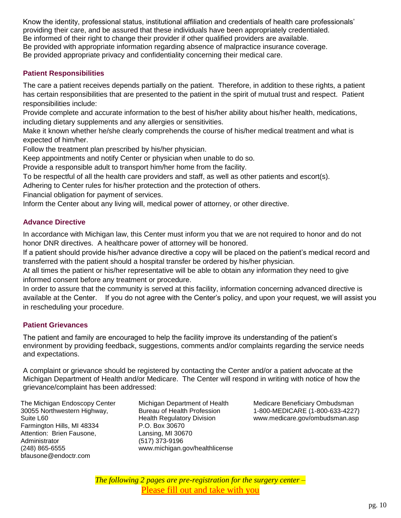Know the identity, professional status, institutional affiliation and credentials of health care professionals' providing their care, and be assured that these individuals have been appropriately credentialed. Be informed of their right to change their provider if other qualified providers are available. Be provided with appropriate information regarding absence of malpractice insurance coverage. Be provided appropriate privacy and confidentiality concerning their medical care.

#### **Patient Responsibilities**

The care a patient receives depends partially on the patient. Therefore, in addition to these rights, a patient has certain responsibilities that are presented to the patient in the spirit of mutual trust and respect. Patient responsibilities include:

Provide complete and accurate information to the best of his/her ability about his/her health, medications, including dietary supplements and any allergies or sensitivities.

Make it known whether he/she clearly comprehends the course of his/her medical treatment and what is expected of him/her.

Follow the treatment plan prescribed by his/her physician.

Keep appointments and notify Center or physician when unable to do so.

Provide a responsible adult to transport him/her home from the facility.

To be respectful of all the health care providers and staff, as well as other patients and escort(s).

Adhering to Center rules for his/her protection and the protection of others.

Financial obligation for payment of services.

Inform the Center about any living will, medical power of attorney, or other directive.

#### **Advance Directive**

In accordance with Michigan law, this Center must inform you that we are not required to honor and do not honor DNR directives. A healthcare power of attorney will be honored.

If a patient should provide his/her advance directive a copy will be placed on the patient's medical record and transferred with the patient should a hospital transfer be ordered by his/her physician.

At all times the patient or his/her representative will be able to obtain any information they need to give informed consent before any treatment or procedure.

In order to assure that the community is served at this facility, information concerning advanced directive is available at the Center. If you do not agree with the Center's policy, and upon your request, we will assist you in rescheduling your procedure.

#### **Patient Grievances**

The patient and family are encouraged to help the facility improve its understanding of the patient's environment by providing feedback, suggestions, comments and/or complaints regarding the service needs and expectations.

A complaint or grievance should be registered by contacting the Center and/or a patient advocate at the Michigan Department of Health and/or Medicare. The Center will respond in writing with notice of how the grievance/complaint has been addressed:

The Michigan Endoscopy Center 30055 Northwestern Highway, Suite L60 Farmington Hills, MI 48334 Attention: Brien Fausone, Administrator (248) 865-6555 bfausone@endoctr.com

Michigan Department of Health Bureau of Health Profession Health Regulatory Division P.O. Box 30670 Lansing, MI 30670 (517) 373-9196 www.michigan.gov/healthlicense

Medicare Beneficiary Ombudsman 1-800-MEDICARE (1-800-633-4227) www.medicare.gov/ombudsman.asp

*The following 2 pages are pre-registration for the surgery center –* Please fill out and take with you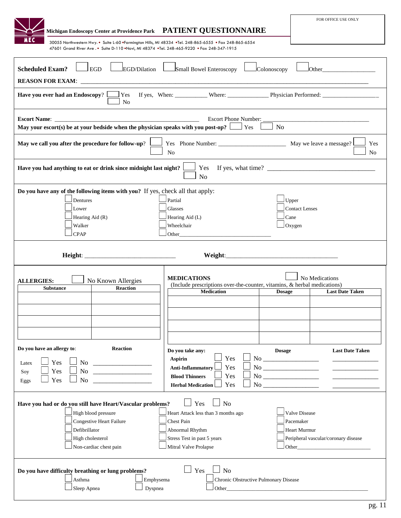| Michigan Endoscopy Center at Providence Park PATIENT QUESTIONNAIRE                                                                                                                                                                                                                                                                                                                                                                                                                                                                                                                                                | FOR OFFICE USE ONLY                                                                                                                                                                                                                                                                                                                |
|-------------------------------------------------------------------------------------------------------------------------------------------------------------------------------------------------------------------------------------------------------------------------------------------------------------------------------------------------------------------------------------------------------------------------------------------------------------------------------------------------------------------------------------------------------------------------------------------------------------------|------------------------------------------------------------------------------------------------------------------------------------------------------------------------------------------------------------------------------------------------------------------------------------------------------------------------------------|
| IE C<br>30055 Northwestern Hwy. • Suite L-60 •Farmington Hills, MI 48334 •Tel. 248-865-6555 • Fax 248-865-6554<br>47601 Grand River Ave. • Suite D-110 .Novi, MI 48374 .Tel. 248-465-9220 . Fax 248-347-1915                                                                                                                                                                                                                                                                                                                                                                                                      |                                                                                                                                                                                                                                                                                                                                    |
| <b>Scheduled Exam?</b><br><b>EGD</b><br>EGD/Dilation <u>Laster</u> Small Bowel Enteroscopy<br>Colonoscopy                                                                                                                                                                                                                                                                                                                                                                                                                                                                                                         | <b>Other COLLEGE</b>                                                                                                                                                                                                                                                                                                               |
| <b>Have you ever had an Endoscopy</b> ? $\Box$ Yes If yes, When: $\Box$ Where: $\Box$ Physician Performed: $\Box$ Physician Performed:<br>N <sub>0</sub>                                                                                                                                                                                                                                                                                                                                                                                                                                                          |                                                                                                                                                                                                                                                                                                                                    |
| Escort Phone Number:<br><b>Escort Name:</b><br>May your escort(s) be at your bedside when the physician speaks with you post-op? $\Box$ Yes $\Box$<br>N <sub>o</sub>                                                                                                                                                                                                                                                                                                                                                                                                                                              |                                                                                                                                                                                                                                                                                                                                    |
| May we call you after the procedure for follow-up?<br>N <sub>o</sub>                                                                                                                                                                                                                                                                                                                                                                                                                                                                                                                                              | Yes<br>N <sub>o</sub>                                                                                                                                                                                                                                                                                                              |
| Yes<br>Have you had anything to eat or drink since midnight last night?<br>No                                                                                                                                                                                                                                                                                                                                                                                                                                                                                                                                     |                                                                                                                                                                                                                                                                                                                                    |
| Do you have any of the following items with you? If yes, check all that apply:<br>Partial<br>Dentures<br>Lower<br>Glasses<br>Hearing Aid (R)<br>Hearing Aid (L)<br>Wheelchair<br>Walker<br><b>CPAP</b><br>Other                                                                                                                                                                                                                                                                                                                                                                                                   | Upper<br><b>Contact Lenses</b><br>Cane<br>$\Box$ Oxygen                                                                                                                                                                                                                                                                            |
|                                                                                                                                                                                                                                                                                                                                                                                                                                                                                                                                                                                                                   |                                                                                                                                                                                                                                                                                                                                    |
| <b>MEDICATIONS</b><br>No Known Allergies<br><b>ALLERGIES:</b><br>(Include prescriptions over-the-counter, vitamins, & herbal medications)<br><b>Reaction</b><br><b>Substance</b><br><b>Medication</b><br><b>Dosage</b>                                                                                                                                                                                                                                                                                                                                                                                            | No Medications<br><b>Last Date Taken</b>                                                                                                                                                                                                                                                                                           |
| Do you have an allergy to:<br><b>Reaction</b><br>Do you take any:<br><b>Dosage</b><br>Yes<br>$\,$ No $\_$<br><b>Aspirin</b><br>Yes<br>No $\qquad$<br>Latex<br>$\,$ No $\_$<br>Yes<br><b>Anti-Inflammatory</b><br>No<br>Yes<br>Soy<br><b>Blood Thinners</b><br>Yes<br>$\,$ No $\_$<br>Yes<br>No<br><u> 1980 - Jan Barat, martin d</u><br>Eggs<br>Yes<br>No service that the service of the service of the service of the service of the series of the series of the series of the series of the series of the series of the series of the series of the series of the series of the se<br><b>Herbal Medication</b> | <b>Last Date Taken</b>                                                                                                                                                                                                                                                                                                             |
| Yes<br>N <sub>o</sub><br>Have you had or do you still have Heart/Vascular problems?<br>High blood pressure<br>Heart Attack less than 3 months ago<br>Congestive Heart Failure<br>Chest Pain<br>Defibrillator<br>Abnormal Rhythm<br>Stress Test in past 5 years<br>High cholesterol<br>Non-cardiac chest pain<br>Mitral Valve Prolapse                                                                                                                                                                                                                                                                             | <b>Valve Disease</b><br>Pacemaker<br><b>Heart Murmur</b><br>Peripheral vascular/coronary disease<br>Other experiences and the state of the state of the state of the state of the state of the state of the state of the state of the state of the state of the state of the state of the state of the state of the state of the s |
| Yes<br>N <sub>o</sub><br>Do you have difficulty breathing or lung problems?<br>Chronic Obstructive Pulmonary Disease<br>Asthma<br>Emphysema<br>Sleep Apnea<br>Dyspnea<br>Other contracts and the contract of the contract of the contract of the contract of the contract of the contract of the contract of the contract of the contract of the contract of the contract of the contract of the contra                                                                                                                                                                                                           |                                                                                                                                                                                                                                                                                                                                    |